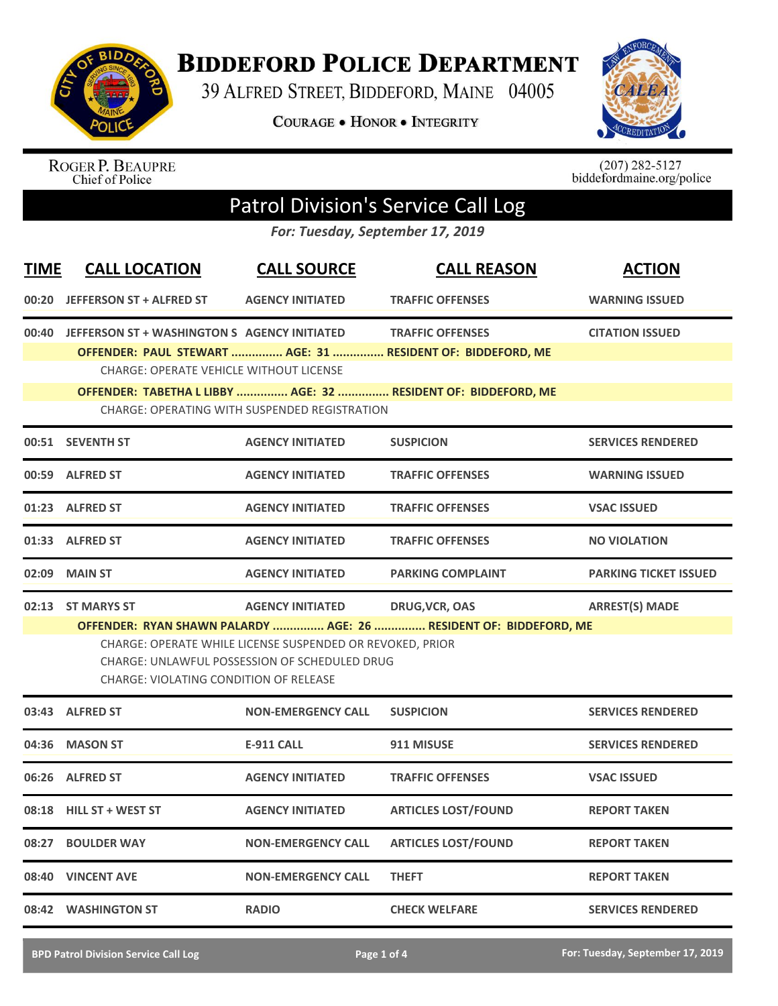

## **BIDDEFORD POLICE DEPARTMENT**

39 ALFRED STREET, BIDDEFORD, MAINE 04005

**COURAGE . HONOR . INTEGRITY** 



ROGER P. BEAUPRE<br>Chief of Police

 $(207)$  282-5127<br>biddefordmaine.org/police

## Patrol Division's Service Call Log

*For: Tuesday, September 17, 2019*

| <b>TIME</b> | <b>CALL LOCATION</b>                                                                                 | <b>CALL SOURCE</b>                                                                                         | <b>CALL REASON</b>                                                                     | <b>ACTION</b>                |
|-------------|------------------------------------------------------------------------------------------------------|------------------------------------------------------------------------------------------------------------|----------------------------------------------------------------------------------------|------------------------------|
| 00:20       | <b>JEFFERSON ST + ALFRED ST</b>                                                                      | <b>AGENCY INITIATED</b>                                                                                    | <b>TRAFFIC OFFENSES</b>                                                                | <b>WARNING ISSUED</b>        |
|             | 00:40 JEFFERSON ST + WASHINGTON S AGENCY INITIATED<br><b>CHARGE: OPERATE VEHICLE WITHOUT LICENSE</b> |                                                                                                            | <b>TRAFFIC OFFENSES</b><br>OFFENDER: PAUL STEWART  AGE: 31  RESIDENT OF: BIDDEFORD, ME | <b>CITATION ISSUED</b>       |
|             |                                                                                                      | <b>CHARGE: OPERATING WITH SUSPENDED REGISTRATION</b>                                                       | OFFENDER: TABETHA L LIBBY  AGE: 32  RESIDENT OF: BIDDEFORD, ME                         |                              |
|             | 00:51 SEVENTH ST                                                                                     | <b>AGENCY INITIATED</b>                                                                                    | <b>SUSPICION</b>                                                                       | <b>SERVICES RENDERED</b>     |
|             | 00:59 ALFRED ST                                                                                      | <b>AGENCY INITIATED</b>                                                                                    | <b>TRAFFIC OFFENSES</b>                                                                | <b>WARNING ISSUED</b>        |
|             | 01:23 ALFRED ST                                                                                      | <b>AGENCY INITIATED</b>                                                                                    | <b>TRAFFIC OFFENSES</b>                                                                | <b>VSAC ISSUED</b>           |
|             | 01:33 ALFRED ST                                                                                      | <b>AGENCY INITIATED</b>                                                                                    | <b>TRAFFIC OFFENSES</b>                                                                | <b>NO VIOLATION</b>          |
| 02:09       | <b>MAIN ST</b>                                                                                       | <b>AGENCY INITIATED</b>                                                                                    | <b>PARKING COMPLAINT</b>                                                               | <b>PARKING TICKET ISSUED</b> |
|             | 02:13 ST MARYS ST                                                                                    | <b>AGENCY INITIATED</b>                                                                                    | <b>DRUG, VCR, OAS</b>                                                                  | <b>ARREST(S) MADE</b>        |
|             | <b>CHARGE: VIOLATING CONDITION OF RELEASE</b>                                                        | CHARGE: OPERATE WHILE LICENSE SUSPENDED OR REVOKED, PRIOR<br>CHARGE: UNLAWFUL POSSESSION OF SCHEDULED DRUG | OFFENDER: RYAN SHAWN PALARDY  AGE: 26  RESIDENT OF: BIDDEFORD, ME                      |                              |
|             | 03:43 ALFRED ST                                                                                      | <b>NON-EMERGENCY CALL</b>                                                                                  | <b>SUSPICION</b>                                                                       | <b>SERVICES RENDERED</b>     |
| 04:36       | <b>MASON ST</b>                                                                                      | <b>E-911 CALL</b>                                                                                          | 911 MISUSE                                                                             | <b>SERVICES RENDERED</b>     |
|             | 06:26 ALFRED ST                                                                                      | <b>AGENCY INITIATED</b>                                                                                    | <b>TRAFFIC OFFENSES</b>                                                                | <b>VSAC ISSUED</b>           |
|             | 08:18 HILL ST + WEST ST                                                                              | <b>AGENCY INITIATED</b>                                                                                    | <b>ARTICLES LOST/FOUND</b>                                                             | <b>REPORT TAKEN</b>          |
| 08:27       | <b>BOULDER WAY</b>                                                                                   | <b>NON-EMERGENCY CALL</b>                                                                                  | <b>ARTICLES LOST/FOUND</b>                                                             | <b>REPORT TAKEN</b>          |
|             | 08:40 VINCENT AVE                                                                                    | <b>NON-EMERGENCY CALL</b>                                                                                  | <b>THEFT</b>                                                                           | <b>REPORT TAKEN</b>          |
|             | 08:42 WASHINGTON ST                                                                                  | <b>RADIO</b>                                                                                               | <b>CHECK WELFARE</b>                                                                   | <b>SERVICES RENDERED</b>     |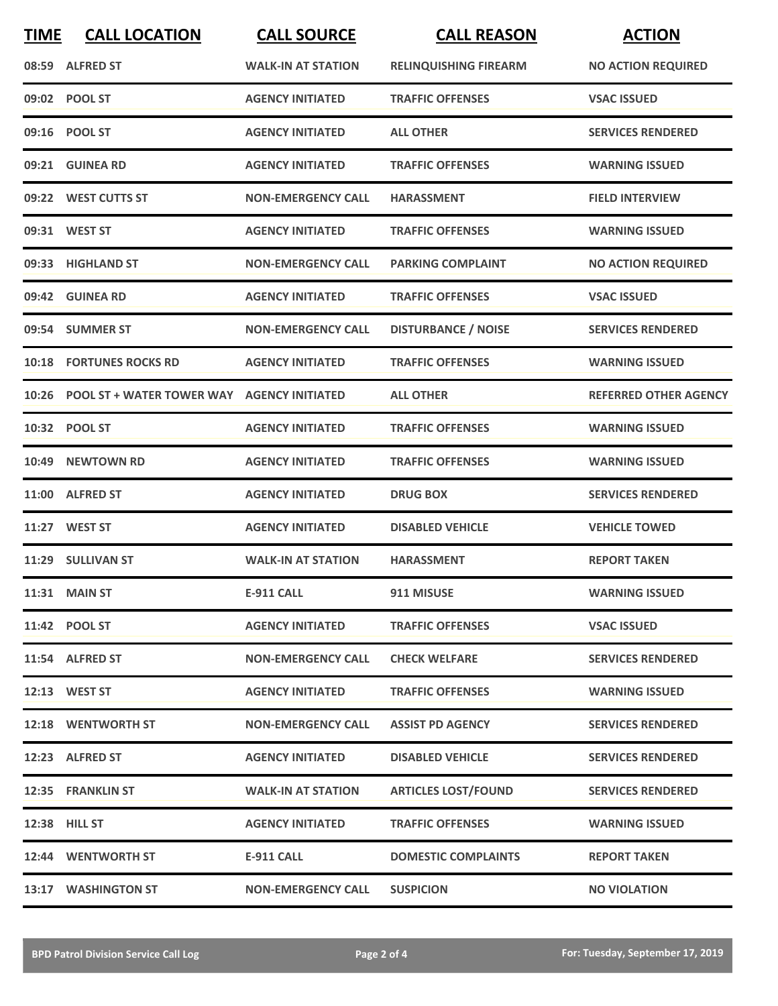| <b>TIME</b> | <b>CALL LOCATION</b>                             | <b>CALL SOURCE</b>        | <b>CALL REASON</b>           | <b>ACTION</b>                |
|-------------|--------------------------------------------------|---------------------------|------------------------------|------------------------------|
|             | 08:59 ALFRED ST                                  | <b>WALK-IN AT STATION</b> | <b>RELINQUISHING FIREARM</b> | <b>NO ACTION REQUIRED</b>    |
|             | 09:02 POOL ST                                    | <b>AGENCY INITIATED</b>   | <b>TRAFFIC OFFENSES</b>      | <b>VSAC ISSUED</b>           |
|             | 09:16 POOL ST                                    | <b>AGENCY INITIATED</b>   | <b>ALL OTHER</b>             | <b>SERVICES RENDERED</b>     |
|             | 09:21 GUINEA RD                                  | <b>AGENCY INITIATED</b>   | <b>TRAFFIC OFFENSES</b>      | <b>WARNING ISSUED</b>        |
|             | 09:22 WEST CUTTS ST                              | <b>NON-EMERGENCY CALL</b> | <b>HARASSMENT</b>            | <b>FIELD INTERVIEW</b>       |
|             | 09:31 WEST ST                                    | <b>AGENCY INITIATED</b>   | <b>TRAFFIC OFFENSES</b>      | <b>WARNING ISSUED</b>        |
|             | 09:33 HIGHLAND ST                                | <b>NON-EMERGENCY CALL</b> | <b>PARKING COMPLAINT</b>     | <b>NO ACTION REQUIRED</b>    |
|             | 09:42 GUINEA RD                                  | <b>AGENCY INITIATED</b>   | <b>TRAFFIC OFFENSES</b>      | <b>VSAC ISSUED</b>           |
|             | 09:54 SUMMER ST                                  | <b>NON-EMERGENCY CALL</b> | <b>DISTURBANCE / NOISE</b>   | <b>SERVICES RENDERED</b>     |
|             | <b>10:18 FORTUNES ROCKS RD</b>                   | <b>AGENCY INITIATED</b>   | <b>TRAFFIC OFFENSES</b>      | <b>WARNING ISSUED</b>        |
|             | 10:26 POOL ST + WATER TOWER WAY AGENCY INITIATED |                           | <b>ALL OTHER</b>             | <b>REFERRED OTHER AGENCY</b> |
|             | 10:32 POOL ST                                    | <b>AGENCY INITIATED</b>   | <b>TRAFFIC OFFENSES</b>      | <b>WARNING ISSUED</b>        |
| 10:49       | <b>NEWTOWN RD</b>                                | <b>AGENCY INITIATED</b>   | <b>TRAFFIC OFFENSES</b>      | <b>WARNING ISSUED</b>        |
| 11:00       | <b>ALFRED ST</b>                                 | <b>AGENCY INITIATED</b>   | <b>DRUG BOX</b>              | <b>SERVICES RENDERED</b>     |
|             | 11:27 WEST ST                                    | <b>AGENCY INITIATED</b>   | <b>DISABLED VEHICLE</b>      | <b>VEHICLE TOWED</b>         |
|             | 11:29 SULLIVAN ST                                | <b>WALK-IN AT STATION</b> | <b>HARASSMENT</b>            | <b>REPORT TAKEN</b>          |
|             | 11:31 MAIN ST                                    | <b>E-911 CALL</b>         | 911 MISUSE                   | <b>WARNING ISSUED</b>        |
|             | 11:42 POOL ST                                    | <b>AGENCY INITIATED</b>   | <b>TRAFFIC OFFENSES</b>      | <b>VSAC ISSUED</b>           |
|             | 11:54 ALFRED ST                                  | <b>NON-EMERGENCY CALL</b> | <b>CHECK WELFARE</b>         | <b>SERVICES RENDERED</b>     |
|             | 12:13 WEST ST                                    | <b>AGENCY INITIATED</b>   | <b>TRAFFIC OFFENSES</b>      | <b>WARNING ISSUED</b>        |
|             | 12:18 WENTWORTH ST                               | <b>NON-EMERGENCY CALL</b> | <b>ASSIST PD AGENCY</b>      | <b>SERVICES RENDERED</b>     |
|             | 12:23 ALFRED ST                                  | <b>AGENCY INITIATED</b>   | <b>DISABLED VEHICLE</b>      | <b>SERVICES RENDERED</b>     |
|             | 12:35 FRANKLIN ST                                | <b>WALK-IN AT STATION</b> | <b>ARTICLES LOST/FOUND</b>   | <b>SERVICES RENDERED</b>     |
|             | 12:38 HILL ST                                    | <b>AGENCY INITIATED</b>   | <b>TRAFFIC OFFENSES</b>      | <b>WARNING ISSUED</b>        |
|             | 12:44 WENTWORTH ST                               | E-911 CALL                | <b>DOMESTIC COMPLAINTS</b>   | <b>REPORT TAKEN</b>          |
|             | 13:17 WASHINGTON ST                              | <b>NON-EMERGENCY CALL</b> | <b>SUSPICION</b>             | <b>NO VIOLATION</b>          |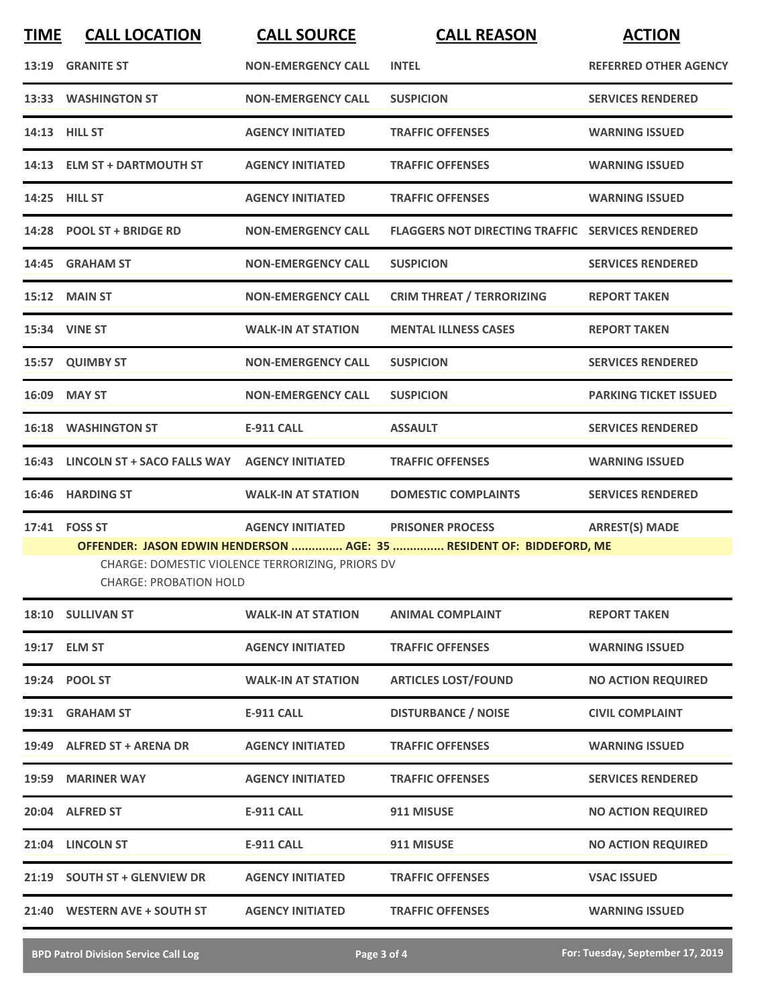| <b>TIME</b> | <b>CALL LOCATION</b>              | <b>CALL SOURCE</b>                               | <b>CALL REASON</b>                                                   | <b>ACTION</b>                |
|-------------|-----------------------------------|--------------------------------------------------|----------------------------------------------------------------------|------------------------------|
| 13:19       | <b>GRANITE ST</b>                 | <b>NON-EMERGENCY CALL</b>                        | <b>INTEL</b>                                                         | <b>REFERRED OTHER AGENCY</b> |
|             | 13:33 WASHINGTON ST               | <b>NON-EMERGENCY CALL</b>                        | <b>SUSPICION</b>                                                     | <b>SERVICES RENDERED</b>     |
|             | 14:13 HILL ST                     | <b>AGENCY INITIATED</b>                          | <b>TRAFFIC OFFENSES</b>                                              | <b>WARNING ISSUED</b>        |
|             | 14:13 ELM ST + DARTMOUTH ST       | <b>AGENCY INITIATED</b>                          | <b>TRAFFIC OFFENSES</b>                                              | <b>WARNING ISSUED</b>        |
|             | 14:25 HILL ST                     | <b>AGENCY INITIATED</b>                          | <b>TRAFFIC OFFENSES</b>                                              | <b>WARNING ISSUED</b>        |
|             | 14:28 POOL ST + BRIDGE RD         | <b>NON-EMERGENCY CALL</b>                        | <b>FLAGGERS NOT DIRECTING TRAFFIC SERVICES RENDERED</b>              |                              |
|             | 14:45 GRAHAM ST                   | <b>NON-EMERGENCY CALL</b>                        | <b>SUSPICION</b>                                                     | <b>SERVICES RENDERED</b>     |
|             | <b>15:12 MAIN ST</b>              | <b>NON-EMERGENCY CALL</b>                        | <b>CRIM THREAT / TERRORIZING</b>                                     | <b>REPORT TAKEN</b>          |
|             | 15:34 VINE ST                     | <b>WALK-IN AT STATION</b>                        | <b>MENTAL ILLNESS CASES</b>                                          | <b>REPORT TAKEN</b>          |
|             | 15:57 QUIMBY ST                   | <b>NON-EMERGENCY CALL</b>                        | <b>SUSPICION</b>                                                     | <b>SERVICES RENDERED</b>     |
|             | 16:09 MAY ST                      | <b>NON-EMERGENCY CALL</b>                        | <b>SUSPICION</b>                                                     | <b>PARKING TICKET ISSUED</b> |
|             | <b>16:18 WASHINGTON ST</b>        | <b>E-911 CALL</b>                                | <b>ASSAULT</b>                                                       | <b>SERVICES RENDERED</b>     |
|             | 16:43 LINCOLN ST + SACO FALLS WAY | <b>AGENCY INITIATED</b>                          | <b>TRAFFIC OFFENSES</b>                                              | <b>WARNING ISSUED</b>        |
| 16:46       | <b>HARDING ST</b>                 | <b>WALK-IN AT STATION</b>                        | <b>DOMESTIC COMPLAINTS</b>                                           | <b>SERVICES RENDERED</b>     |
|             | 17:41 FOSS ST                     | <b>AGENCY INITIATED</b>                          | <b>PRISONER PROCESS</b>                                              | <b>ARREST(S) MADE</b>        |
|             | <b>CHARGE: PROBATION HOLD</b>     | CHARGE: DOMESTIC VIOLENCE TERRORIZING, PRIORS DV | OFFENDER: JASON EDWIN HENDERSON  AGE: 35  RESIDENT OF: BIDDEFORD, ME |                              |
|             | 18:10 SULLIVAN ST                 | <b>WALK-IN AT STATION</b>                        | <b>ANIMAL COMPLAINT</b>                                              | <b>REPORT TAKEN</b>          |
|             | 19:17 ELM ST                      | <b>AGENCY INITIATED</b>                          | <b>TRAFFIC OFFENSES</b>                                              | <b>WARNING ISSUED</b>        |
|             | 19:24 POOL ST                     | <b>WALK-IN AT STATION</b>                        | <b>ARTICLES LOST/FOUND</b>                                           | <b>NO ACTION REQUIRED</b>    |
|             | 19:31 GRAHAM ST                   | <b>E-911 CALL</b>                                | <b>DISTURBANCE / NOISE</b>                                           | <b>CIVIL COMPLAINT</b>       |
|             | 19:49 ALFRED ST + ARENA DR        | <b>AGENCY INITIATED</b>                          | <b>TRAFFIC OFFENSES</b>                                              | <b>WARNING ISSUED</b>        |
|             | 19:59 MARINER WAY                 | <b>AGENCY INITIATED</b>                          | <b>TRAFFIC OFFENSES</b>                                              | <b>SERVICES RENDERED</b>     |
|             | 20:04 ALFRED ST                   | <b>E-911 CALL</b>                                | 911 MISUSE                                                           | <b>NO ACTION REQUIRED</b>    |
|             | 21:04 LINCOLN ST                  | <b>E-911 CALL</b>                                | 911 MISUSE                                                           | <b>NO ACTION REQUIRED</b>    |
|             | 21:19 SOUTH ST + GLENVIEW DR      | <b>AGENCY INITIATED</b>                          | <b>TRAFFIC OFFENSES</b>                                              | <b>VSAC ISSUED</b>           |
|             | 21:40 WESTERN AVE + SOUTH ST      | <b>AGENCY INITIATED</b>                          | <b>TRAFFIC OFFENSES</b>                                              | <b>WARNING ISSUED</b>        |